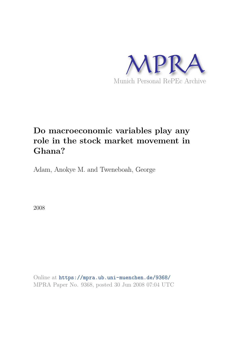

# **Do macroeconomic variables play any role in the stock market movement in Ghana?**

Adam, Anokye M. and Tweneboah, George

2008

Online at https://mpra.ub.uni-muenchen.de/9368/ MPRA Paper No. 9368, posted 30 Jun 2008 07:04 UTC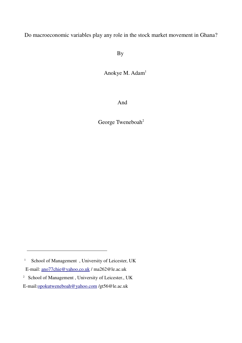Do macroeconomic variables play any role in the stock market movement in Ghana?

By

Anokye M. Adam<sup>1</sup>

And

George Tweneboah<sup>2</sup>

<sup>&</sup>lt;sup>1</sup> School of Management, University of Leicester, UK E-mail: ano77chie@yahoo.co.uk / ma262@le.ac.uk <sup>2</sup> School of Management, University of Leicester., UK

E-mail:opokutweneboah@yahoo.com /gt56@le.ac.uk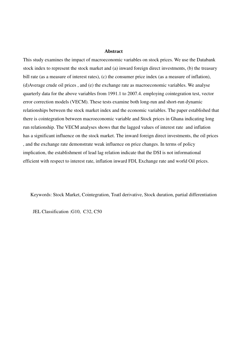#### **Abstract**

This study examines the impact of macroeconomic variables on stock prices. We use the Databank stock index to represent the stock market and (a) inward foreign direct investments, (b) the treasury bill rate (as a measure of interest rates), (c) the consumer price index (as a measure of inflation), (d)Average crude oil prices , and (e) the exchange rate as macroeconomic variables. We analyse quarterly data for the above variables from 1991.1 to 2007.4. employing cointegration test, vector error correction models (VECM). These tests examine both long-run and short-run dynamic relationships between the stock market index and the economic variables. The paper established that there is cointegration between macroeconomic variable and Stock prices in Ghana indicating long run relationship. The VECM analyses shows that the lagged values of interest rate and inflation has a significant influence on the stock market. The inward foreign direct investments, the oil prices , and the exchange rate demonstrate weak influence on price changes. In terms of policy implication, the establishment of lead lag relation indicate that the DSI is not informational efficient with respect to interest rate, inflation inward FDI, Exchange rate and world Oil prices.

Keywords: Stock Market, Cointegration, Toatl derivative, Stock duration, partial differentiation

JEL Classification :G10, C32, C50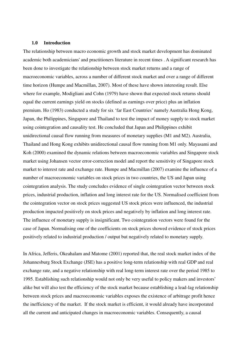#### **1.0 Introduction**

The relationship between macro economic growth and stock market development has dominated academic both academicians' and practitioners literature in recent times . A significant research has been done to investigate the relationship between stock market returns and a range of macroeconomic variables, across a number of different stock market and over a range of different time horizon (Humpe and Macmillan, 2007). Most of these have shown interesting result. Else where for example, Modigliani and Cohn (1979) have shown that expected stock returns should equal the current earnings yield on stocks (defined as earnings over price) plus an inflation premium. Ho (1983) conducted a study for six 'far East Countries' namely Australia Hong Kong, Japan, the Philippines, Singapore and Thailand to test the impact of money supply to stock market using cointegration and causality test. He concluded that Japan and Philippines exhibit unidirectional causal flow running from measures of monetary supplies (M1 and M2). Australia, Thailand and Hong Kong exhibits unidirectional causal flow running from M1 only. Mayasami and Koh (2000) examined the dynamic relations between macroeconomic variables and Singapore stock market using Johansen vector error-correction model and report the sensitivity of Singapore stock market to interest rate and exchange rate. Humpe and Macmillan (2007) examine the influence of a number of macroeconomic variables on stock prices in two countries, the US and Japan using cointegration analysis. The study concludes evidence of single cointegration vector between stock prices, industrial production, inflation and long interest rate for the US. Normalised coefficient from the cointegration vector on stock prices suggested US stock prices were influenced, the industrial production impacted positively on stock prices and negatively by inflation and long interest rate. The influence of monetary supply is insignificant. Two cointegration vectors were found for the case of Japan. Normalising one of the coefficients on stock prices showed evidence of stock prices positively related to industrial production / output but negatively related to monetary supply.

In Africa, Jefferis, Okeahalam and Matome (2001) reported that, the real stock market index of the Johannesburg Stock Exchange (JSE) has a positive long-term relationship with real GDP and real exchange rate, and a negative relationship with real long-term interest rate over the period 1985 to 1995. Establishing such relationship would not only be very useful to policy makers and investors' alike but will also test the efficiency of the stock market because establishing a lead-lag relationship between stock prices and macroeconomic variables exposes the existence of arbitrage profit hence the inefficiency of the market. If the stock market is efficient, it would already have incorporated all the current and anticipated changes in macroeconomic variables. Consequently, a causal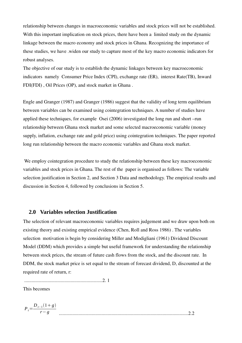relationship between changes in macroeconomic variables and stock prices will not be established. With this important implication on stock prices, there have been a limited study on the dynamic linkage between the macro economy and stock prices in Ghana. Recognizing the importance of these studies, we have .widen our study to capture most of the key macro economic indicators for robust analyses.

The objective of our study is to establish the dynamic linkages between key macroeconomic indicators namely Consumer Price Index (CPI), exchange rate (ER), interest Rate(TB), Inward FDI(FDI) , Oil Prices (OP), and stock market in Ghana .

Engle and Granger (1987) and Granger (1986) suggest that the validity of long term equilibrium between variables can be examined using cointegration techniques. A number of studies have applied these techniques, for example Osei (2006) investigated the long run and short –run relationship between Ghana stock market and some selected macroeconomic variable (money supply, inflation, exchange rate and gold price) using cointegration techniques. The paper reported long run relationship between the macro economic variables and Ghana stock market.

 We employ cointegration procedure to study the relationship between these key macroeconomic variables and stock prices in Ghana. The rest of the paper is organised as follows: The variable selection justification in Section 2, and Section 3 Data and methodology. The empirical results and discussion in Section 4, followed by conclusions in Section 5.

### **2.0 Variables selection Justification**

The selection of relevant macroeconomic variables requires judgement and we draw upon both on existing theory and existing empirical evidence (Chen, Roll and Ross 1986) . The variables selection motivation is begin by considering Miller and Modigliani (1961) Dividend Discount Model (DDM) which provides a simple but useful framework for understanding the relationship between stock prices, the stream of future cash flows from the stock, and the discount rate. In DDM, the stock market price is set equal to the stream of forecast dividend, D, discounted at the required rate of return, r:

................................................................2. 1

This becomes

$$
P_t = \frac{D_{t-1}(1+g)}{r-g}
$$
................. 2.2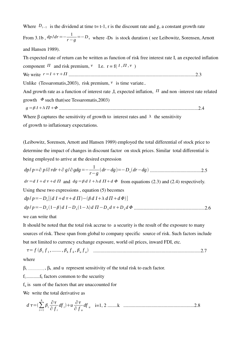Where  $D_{t-1}$  is the dividend at time t= t-1, r is the discount rate and g, a constant growth rate From 3.1b,  $dp/dr = -\frac{1}{r-1}$  $\frac{1}{r-g}$  = -D<sub>s</sub> where -Ds is stock duration (see Leibowitz, Sorensen, Arnott and Hansen 1989).

Th expected rate of return can be written as function of risk free interest rate I, an expected inflation component  $\Pi$  and risk premium,  $\tau$  I.e.  $r = f(I, \Pi, \tau)$ We write *r*=*I* ........................................................................................................2.3 Unlike (Tessaromatis, 2003), risk premium,  $\tau$  is time variate...

And growth rate as a function of interest rate  $I$ , expected inflation,  $I$  and non-interest rate related growth  $\Phi$  such that(see Tessaromatis, 2003)

*g* = *I* ..................................................................................................................2.4

Where  $\beta$  captures the sensitivity of growth to interest rates and  $\lambda$  the sensitivity of growth to inflationary expectations.

(Leibowitz, Sorensen, Arnott and Hansen 1989) employed the total differential of stock price to determine the impact of changes in discount factor on stock prices. Similar total differential is being employed to arrive at the desired expression

*dp*/ *p*=∂ *p* /∂ *rdr*∂ *g* /∂ *gdg*=-1 *rg drdg*=-*Ds drdg* ..........................................2.5

 $dr = dI + d\tau + d\Pi$  and  $dg = \beta dI + \lambda d\Pi + d\Phi$  from equations (2.3) and (2.4) respectively.

Using these two expressions , equation (5) becomes

$$
dp/p = -D_s[(d I + d \tau + d \Pi) - (\beta d I + \lambda d \Pi + d \Phi)]
$$
  
\n
$$
dp/p = -D_s(1-\beta) d I - D_s(1-\lambda) d \Pi - D_s d \tau + D_s d \Phi
$$
.................2.6

we can write that

It should be noted that the total risk accrue to a security is the result of the exposure to many sources of risk. These span from global to company specific source of risk. Such factors include but not limited to currency exchange exposure, world oil prices, inward FDI, etc.

= *f* <sup>1</sup> *f* 1 *,*........ *, <sup>k</sup> f k , <sup>u</sup> f u* ........................................................................................2.7 where

 $\beta_{i_1}$ .....................,  $\beta_{k_1}$  and u represent sensitivity of the total risk to each factor.

 $f_i$ ............. $f_k$  factors common to the security

 $f_n$  is sum of the factors that are unaccounted for

We write the total derivative as

*<sup>d</sup>* =∑ *i*=1 *k i* ∂ ∂ *f <sup>i</sup> df <sup>i</sup> u* ∂ ∂ *f <sup>u</sup> df <sup>u</sup>* i=1, 2 ........k ..........................................................2.8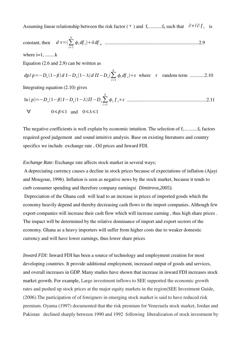Assuming linear relationship between the risk factor ( $\tau$ ) and f<sub>i</sub>...........f<sub>k</sub> such that  $\partial \tau / \partial f_i$  is

constant, then  $d\tau = (\sum_{i=1}^{\infty}$ *k <sup>i</sup> df <sup>i</sup> df <sup>u</sup>* .............................................................................2.9

where  $i=1$ , ........ $k$ 

Equation (2.6 and 2.9) can be written as

$$
dpl p = -D_s(1-\beta) dI - D_s(1-\lambda) d\Pi - D_s(\sum_{i=1}^k \phi_i df_i) + \varepsilon \text{ where } \varepsilon \text{ random term } .........2.10
$$

Integrating equation (2.10) gives

ln *p*=-*Ds* 1- *I*-*Ds* 1--*<sup>D</sup>s*∑ *i*=1 *k i f <sup>i</sup>* .................................................................2.11 ∀ 01 and 01

The negative coefficients is well explain by economic intuition. The selection of  $f_1$ ............ $f_k$  factors required good judgement and sound intuitive analysis. Base on existing literatures and country specifics we include exchange rate , Oil prices and Inward FDI.

#### *Exchange Rate*: Exchange rate affects stock market in several ways;

 A depreciating currency causes a decline in stock prices because of expectations of inflation (Ajayi and Mougoue, 1996). Inflation is seen as negative news by the stock market, because it tends to curb consumer spending and therefore company earnings( *Dimitrova,2005).* 

 Depreciation of the Ghana cedi will lead to an increase in prices of imported goods which the economy heavily depend and thereby decreasing cash flows to the import companies. Although few export companies will increase their cash flow which will increase earning , thus high share prices . The impact will be determined by the relative dominance of import and export sectors of the economy. Ghana as a heavy importers will suffer from higher costs due to weaker domestic currency and will have lower earnings, thus lower share prices

*Inward FDI:* Inward FDI has been a source of technology and employment creation for most developing countries. It provide additional employment, increased output of goods and services, and overall increases in GDP. Many studies have shown that increase in inward FDI increases stock market growth. For example*,* Large investment inflows to SEE supported the economic growth rates and pushed up stock prices at the major equity markets in the region(SEE Investment Guide*,* (2006).The participation of of foreigners in emerging stock market is said to have reduced risk premium. Oyama (1997) documented that **t**he risk premium for Venezuela stock market, Jordan and Pakistan declined sharply between 1990 and 1992 following liberalization of stock investment by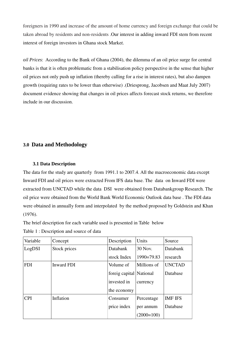foreigners in 1990 and increase of the amount of home currency and foreign exchange that could be taken abroad by residents and non-residents .Our interest in adding inward FDI stem from recent interest of foreign investors in Ghana stock Marke*t.* 

*oil Prices*: According to the Bank of Ghana (2004), the dilemma of an oil price surge for central banks is that it is often problematic from a stabilisation policy perspective in the sense that higher oil prices not only push up inflation (thereby calling for a rise in interest rates), but also dampen growth (requiring rates to be lower than otherwise) .(Driesprong, Jacobsen and Maat July 2007) document evidence showing that changes in oil prices affects forecast stock returns, we therefore include in our discussion.

# **3.0 Data and Methodology**

#### **3.1 Data Description**

The data for the study are quarterly from 1991.1 to 2007.4. All the macroeconomic data except Inward FDI and oil prices were extracted From IFS data base. The data on Inward FDI were extracted from UNCTAD while the data DSI were obtained from Databankgroup Research. The oil price were obtained from the World Bank World Economic Outlook data base . The FDI data were obtained in annually form and interpolated by the method proposed by Goldstein and Khan (1976).

The brief description for each variable used is presented in Table below

Table 1 : Description and source of data

| Variable   | Concept      | Description             | Units          | Source         |
|------------|--------------|-------------------------|----------------|----------------|
| LogDSI     | Stock prices | Databank                | 30 Nov.        | Databank       |
|            |              | stock Index             | $1990 = 79.83$ | research       |
| <b>FDI</b> | Inward FDI   | Volume of               | Millions of    | <b>UNCTAD</b>  |
|            |              | foreig capital National |                | Database       |
|            |              | invested in             | currency       |                |
|            |              | the economy             |                |                |
| <b>CPI</b> | Inflation    | Consumer                | Percentage     | <b>IMF IFS</b> |
|            |              | price index             | per annum      | Database       |
|            |              |                         | $(2000=100)$   |                |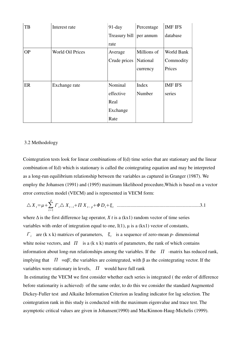| TB        | Interest rate           | $91$ -day     | Percentage  | <b>IMF IFS</b> |
|-----------|-------------------------|---------------|-------------|----------------|
|           |                         | Treasury bill | per annum   | database       |
|           |                         | rate          |             |                |
| <b>OP</b> | <b>World Oil Prices</b> | Average       | Millions of | World Bank     |
|           |                         | Crude prices  | National    | Commodity      |
|           |                         |               | currency    | Prices         |
|           |                         |               |             |                |
| ER        | Exchange rate           | Nominal       | Index       | <b>IMF IFS</b> |
|           |                         | effective     | Number      | series         |
|           |                         | Real          |             |                |
|           |                         | Exchange      |             |                |
|           |                         | Rate          |             |                |

#### 3.2 Methodology

Cointegration tests look for linear combinations of I(d) time series that are stationary and the linear combination of I(d) which is stationary is called the cointegrating equation and may be interpreted as a long-run equilibrium relationship between the variables as captured in Granger (1987). We employ the Johansen (1991) and (1995) maximum likelihood procedure,Which is based on a vector error correction model (VECM) and is represented in VECM form:

△ *<sup>X</sup> <sup>t</sup>*=∑*t*=<sup>1</sup> *p Г <sup>i</sup>*△ *Xt<sup>i</sup> X <sup>t</sup> <sup>p</sup> Dt<sup>t</sup>* ....................................................................3.1

where  $\Delta$  is the first difference lag operator, *X t* is a (kx1) random vector of time series variables with order of integration equal to one,  $I(1)$ ,  $\mu$  is a (kx1) vector of constants,

 $\Gamma_i$  are (k x k) matrices of parameters,  $\xi_i$  is a sequence of zero-mean *p*- dimensional white noise vectors, and  $\Pi$  is a (k x k) matrix of parameters, the rank of which contains information about long-run relationships among the variables. If the  $\Pi$  -matrix has reduced rank, implying that  $\Pi = \alpha \beta'$ , the variables are cointegrated, with  $\beta$  as the cointegrating vector. If the variables were stationary in levels,  $\Pi$  would have full rank

 In estimating the VECM we first consider whether each series is integrated ( the order of difference before stationarity is achieved) of the same order, to do this we consider the standard Augmented Dickey-Fuller test and Alkaike Information Criterion as leading indicator for lag selection. The cointegration rank in this study is conducted with the maximum eigenvalue and trace test. The asymptotic critical values are given in Johansen(1990) and MacKinnon-Haug-Michelis (1999).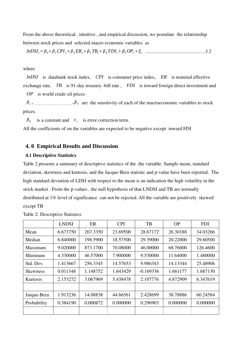From the above theoretical , intuitive , and empirical discussion, we postulate the relationship between stock prices and selected macro economic variables as

*lnDSIt*=01*CPIt*2*ERt*3*TBt*<sup>4</sup> *FDIt*5*OPt<sup>t</sup>* .................................................3.2

#### where

*lnDSI* is databank stock index, *CPI* is consumer price index, *ER* is nominal effective exchange rate, *TB* is 91-day treasury -bill rate , *FDI* is inward foreign direct investment and

*OP* is world crude oil prices

 $\beta_1$ ,  $\beta_2$ ,  $\beta_3$  are the sensitivity of each of the macroeconomic variables to stock prices.

 $\beta_0$  is a constant and  $\varepsilon_t$  is error correction term.

All the coefficients of on the variables are expected to be negative except inward FDI

#### **4. 0 Empirical Results and Discussion**

#### **4.1 Descriptive Statistics**

Table 2 presents a summary of descriptive statistics of the the variable. Sample mean, standard deviation, skewness and kurtosis, and the Jacque-Bera statistic and *p*-value have been reported. The high standard deviation of LDSI with respect to the mean is an indication the high volatility in the stock market . From the p-values , the null hypothesis of that LNDSI and TB are normally distributed at 1% level of significance can not be rejected. All the variable are positively skewed except TB

|                 | <b>LNDSI</b> | ER       | <b>CPI</b> | TB          | <b>OP</b> | <b>FDI</b> |
|-----------------|--------------|----------|------------|-------------|-----------|------------|
| Mean            | 6.673750     | 267.3350 | 23.69500   | 28.67172    | 26.30188  | 34.03266   |
| Median          | 6.840000     | 198.5900 | 18.57500   | 29.39000    | 20.22000  | 29.60500   |
| Maximum         | 9.020000     | 873.1700 | 70.08000   | 46.00000    | 68.76000  | 126.4600   |
| Minimum         | 4.330000     | 46.57000 | 7.900000   | 9.530000    | 11.64000  | 1.480000   |
| Std. Dev.       | 1.413667     | 256.3345 | 14.57653   | 9.986343    | 14.13344  | 25.48906   |
| <b>Skewness</b> | 0.011348     | 1.148752 | 1.643429   | $-0.169336$ | 1.661177  | 1.687130   |
| Kurtosis        | 2.153272     | 3.067969 | 5.438478   | 2.107776    | 4.872909  | 6.347619   |
|                 |              |          |            |             |           |            |
| Jarque-Bera     | 1.913236     | 14.08838 | 44.66561   | 2.428699    | 38.78886  | 60.24584   |
| Probability     | 0.384190     | 0.000872 | 0.000000   | 0.296903    | 0.000000  | 0.000000   |
|                 |              |          |            |             |           |            |

Table 2: Descriptive Statistics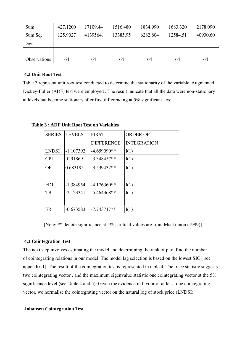| Sum                 | 427.1200 | 17109.44 | 1516.480 | 1834.990 | 1683.320 | 2178.090 |
|---------------------|----------|----------|----------|----------|----------|----------|
| Sum Sq.             | 125.9027 | 4139564. | 13385.95 | 6282.804 | 12584.51 | 40930.60 |
| Dev.                |          |          |          |          |          |          |
|                     |          |          |          |          |          |          |
| <b>Observations</b> | 64       | 64       | 64       | 64       | 64       | 64       |

#### **4.2 Unit Root Test**

Table 3 represent unit root test conducted to determine the stationarity of the variable. Augmented Dickey-Fuller (ADF) test were employed . The result indicate that all the data were non-stationary at levels but become stationary after first differencing at 5% significant level.

SERIES LEVELS FIRST DIFFERENCE ORDER OF INTEGRATION LNDSI  $|-1.107392| -4.659090**|I(1)|$ CPI -0.91869 -3.348457\*\* I(1) OP  $\big| 0.683195 \big| -3.539432^{**} \big| I(1) \big|$ FDI | -1.384954  $\vert$  -4.176360\*\*  $\vert$ I(1) TB |-2.123341  $|-5.464368**$  |I(1) ER  $\vert$  -0.673583  $\vert$  -7.743717\*\*  $\vert$ I(1)

**Table 3 : ADF Unit Root Test on Variables**

[Note: \*\* denote significance at 5% , critical values are from Mackinnon (1999)]

#### **4.3 Cointegration Test**

The next step involves estimating the model and determining the rank of p to find the number of cointegrating relations in our model. The model lag selection is based on the lowest SIC ( see appendix 1). The result of the cointegration test is represented in table 4. The trace statistic suggests two cointegrating vector , and the maximum eigenvalue statistic one cointegrating vector at the 5% significance level (see Table 4 and 5). Given the evidence in favour of at least one cointegrating vector, we normalise the cointegrating vector on the natural log of stock price (LNDSI)

#### **Johansen Cointegration Test**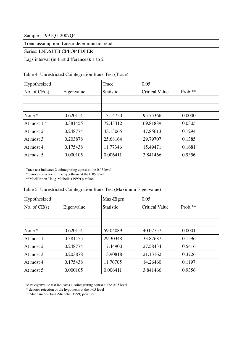Sample : 1991Q1-2007Q4

Trend assumption: Linear deterministic trend

Series: LNDSI TB CPI OP FDI ER

Lags interval (in first differences): 1 to 2

#### Table 4: Unrestricted Cointegration Rank Test (Trace)

| Hypothesized   |            | Trace            | 0.05                  |         |
|----------------|------------|------------------|-----------------------|---------|
| No. of $CE(s)$ | Eigenvalue | <b>Statistic</b> | <b>Critical Value</b> | Prob.** |
|                |            |                  |                       |         |
|                |            |                  |                       |         |
| None *         | 0.620114   | 131.4750         | 95.75366              | 0.0000  |
| At most $1 *$  | 0.381455   | 72.43412         | 69.81889              | 0.0305  |
| At most 2      | 0.248774   | 43.13065         | 47.85613              | 0.1294  |
| At most 3      | 0.203878   | 25.68164         | 29.79707              | 0.1385  |
| At most 4      | 0.175438   | 11.77346         | 15.49471              | 0.1681  |
| At most 5      | 0.000105   | 0.006411         | 3.841466              | 0.9356  |

Trace test indicates 2 cointegrating eqn(s) at the 0.05 level

\* denotes rejection of the hypothesis at the 0.05 level

\*\*MacKinnon-Haug-Michelis (1999) p-values

|  | Table 5: Unrestricted Cointegration Rank Test (Maximum Eigenvalue) |  |  |
|--|--------------------------------------------------------------------|--|--|
|  |                                                                    |  |  |

| Hypothesized      |            | Max-Eigen | 0.05                  |           |
|-------------------|------------|-----------|-----------------------|-----------|
| No. of $CE(s)$    | Eigenvalue | Statistic | <b>Critical Value</b> | $Prob.**$ |
|                   |            |           |                       |           |
|                   |            |           |                       |           |
| None <sup>*</sup> | 0.620114   | 59.04089  | 40.07757              | 0.0001    |
| At most 1         | 0.381455   | 29.30348  | 33.87687              | 0.1596    |
| At most 2         | 0.248774   | 17.44900  | 27.58434              | 0.5416    |
| At most 3         | 0.203878   | 13.90818  | 21.13162              | 0.3726    |
| At most 4         | 0.175438   | 11.76705  | 14.26460              | 0.1197    |
| At most 5         | 0.000105   | 0.006411  | 3.841466              | 0.9356    |

Max-eigenvalue test indicates 1 cointegrating eqn(s) at the 0.05 level

\* denotes rejection of the hypothesis at the 0.05 level

\*\*MacKinnon-Haug-Michelis (1999) p-values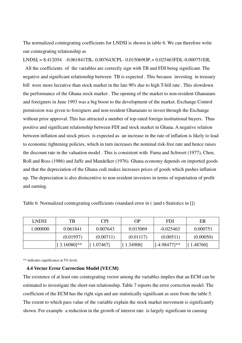The normalized cointegrating coefficients for LNDSI is shown in table 6. We can therefore write our cointegrating relationship as

LNDSI<sub>t</sub> = 8.412054 -0.061841TB<sub>t</sub>-0.007643CPI<sub>t</sub>-0.015069OP<sub>t</sub>+0.025463FDI<sub>t</sub>-0.000751ER<sub>t</sub>

 All the coefficients of the variables are correctly sign with TB and FDI being significant. The negative and significant relationship between TB is expected . This because investing in treasury bill were more lucrative than stock market in the late 90's due to high T-bill rate . This slowdown the performance of the Ghana stock market . The opening of the market to non-resident Ghanaians and foreigners in June 1993 was a big boost to the development of the market. Exchange Control permission was given to foreigners and non-resident Ghanaians to invest through the Exchange without prior approval. This has attracted a number of top-rated foreign institutional buyers.Thus positive and significant relationship between FDI and stock market in Ghana. A negative relation between inflation and stock prices is expected as an increase in the rate of inflation is likely to lead to economic tightening policies, which in turn increases the nominal risk-free rate and hence raises the discount rate in the valuation model . This is consistent with Fama and Schwert (1977), Chen, Roll and Ross (1986) and Jaffe and Mandelker (1976). Ghana economy depends on imported goods and that the depreciation of the Ghana cedi makes increases prices of goods which pushes inflation up. The depreciation is also disincentive to non-resident investors in terms of repatriation of profit and earning.

| <b>LNDSI</b> | TВ             | <b>CPI</b> | OΡ        | <b>FDI</b>      | ER        |
|--------------|----------------|------------|-----------|-----------------|-----------|
| 1.000000     | 0.061841       | 0.007643   | 0.015069  | $-0.025463$     | 0.000751  |
|              | (0.01957)      | (0.00711)  | (0.01117) | (0.00511)       | (0.00050) |
|              | $[3.16080]$ ** | 1.07467    | [1.34908] | $[-4.98477]$ ** | [1.48760] |

Table 6: Normalized cointegrating coefficients (standard error in ( )and t-Statistics in [])

\*\* indicates significance at 5% level.

#### **4.4 Vector Error Correction Model (VECM)**

The existence of at least one cointegrating vector among the variables implies that an ECM can be estimated to investigate the short-run relationship. Table 7 reports the error correction model. The coefficient of the ECM has the right sign and are statistically significant as seen from the table 5. The extent to which pass value of the variable explain the stock market movement is significantly shown. For example a reduction in the growth of interest rate is largely significant in causing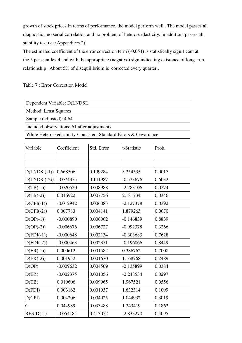growth of stock prices.In terms of performance, the model perform well . The model passes all diagnostic , no serial correlation and no problem of heteroscedasticity. In addition, passes all stability test (see Appendices 2).

The estimated coefficient of the error correction term  $(-0.054)$  is statistically significant at the 5 per cent level and with the appropriate (negative) sign indicating existence of long -run relationship . About 5% of disequilibrium is corrected every quarter .

Table 7 : Error Correction Model

| Variable       | Coefficient | Std. Error | t-Statistic | Prob.  |
|----------------|-------------|------------|-------------|--------|
|                |             |            |             |        |
|                |             |            |             |        |
| $D(LNDSI(-1))$ | 0.668506    | 0.199284   | 3.354535    | 0.0017 |
| $D(LNDSI(-2))$ | $-0.074355$ | 0.141987   | $-0.523676$ | 0.6032 |
| $D(TB(-1))$    | $-0.020520$ | 0.008988   | $-2.283106$ | 0.0274 |
| $D(TB(-2))$    | 0.016922    | 0.007756   | 2.181734    | 0.0346 |
| $D(CPI(-1))$   | $-0.012942$ | 0.006083   | $-2.127378$ | 0.0392 |
| $D(CPI(-2))$   | 0.007783    | 0.004141   | 1.879263    | 0.0670 |
| $D(OP(-1))$    | $-0.000890$ | 0.006062   | $-0.146839$ | 0.8839 |
| $D(OP(-2))$    | $-0.006676$ | 0.006727   | $-0.992378$ | 0.3266 |
| $D(FDI(-1))$   | $-0.000648$ | 0.002134   | $-0.303683$ | 0.7628 |
| $D(FDI(-2))$   | $-0.000463$ | 0.002351   | $-0.196866$ | 0.8449 |
| $D(ER(-1))$    | 0.000612    | 0.001582   | 0.386762    | 0.7008 |
| $D(ER(-2))$    | 0.001952    | 0.001670   | 1.168768    | 0.2489 |
| D(OP)          | $-0.009632$ | 0.004509   | $-2.135899$ | 0.0384 |
| D(ER)          | $-0.002375$ | 0.001056   | $-2.248534$ | 0.0297 |
| D(TB)          | 0.019606    | 0.009965   | 1.967521    | 0.0556 |
| D(FDI)         | 0.003162    | 0.001937   | 1.632314    | 0.1099 |
| D(CPI)         | 0.004206    | 0.004025   | 1.044932    | 0.3019 |
| $\mathsf{C}$   | 0.044989    | 0.033488   | 1.343419    | 0.1862 |
| $RESID(-1)$    | $-0.054184$ | 0.413052   | $-2.833270$ | 0.4095 |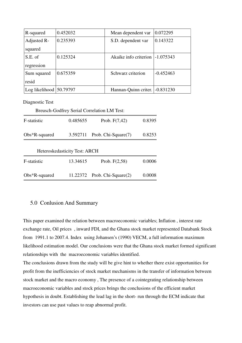| R-squared                  | 0.452032 | Mean dependent var    | 0.072295    |
|----------------------------|----------|-----------------------|-------------|
| Adjusted R-                | 0.235393 | S.D. dependent var    | 0.143322    |
| squared                    |          |                       |             |
| S.E. of                    | 0.125324 | Akaike info criterion | $-1.075343$ |
| regression                 |          |                       |             |
| Sum squared                | 0.675359 | Schwarz criterion     | $-0.452463$ |
| resid                      |          |                       |             |
| Log likelihood $ 50.79797$ |          | Hannan-Quinn criter.  | $-0.831230$ |

Diagnostic Test

|                  |                               | <b>Breusch-Godfrey Serial Correlation LM Test:</b> |        |
|------------------|-------------------------------|----------------------------------------------------|--------|
| F-statistic      | 0.485655                      | Prob. $F(7,42)$                                    | 0.8395 |
| $Obs*R$ -squared | 3.592711                      | Prob. Chi-Square(7)                                | 0.8253 |
|                  | Heteroskedasticity Test: ARCH |                                                    |        |
| F-statistic      | 13.34615                      | Prob. $F(2,58)$                                    | 0.0006 |
| $Obs*R$ -squared | 11.22372                      | Prob. Chi-Square(2)                                | 0.0008 |

## 5.0 Conlusion And Summary

This paper examined the relation between macroeconomic variables; Inflation , interest rate exchange rate, Oil prices , inward FDI, and the Ghana stock market represented Databank Stock from 1991.1 to 2007.4. Index using Johansen's (1990) VECM, a full information maximum likelihood estimation model. Our conclusions were that the Ghana stock market formed significant relationships with the macroeconomic variables identified.

The conclusions drawn from the study will be give hint to whether there exist opportunities for profit from the inefficiencies of stock market mechanisms in the transfer of information between stock market and the macro economy , The presence of a cointegrating relationship between macroeconomic variables and stock prices brings the conclusions of the efficient market hypothesis in doubt. Establishing the lead lag in the short- run through the ECM indicate that investors can use past values to reap abnormal profit.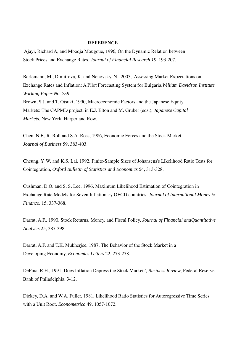#### **REFERENCE**

 Ajayi, Richard A, and Mbodja Mougoue, 1996, On the Dynamic Relation between Stock Prices and Exchange Rates, *Journal of Financial Research 19*, 193-207.

Berlemann, M., Dimitrova, K. and Nenovsky, N., 2005, Assessing Market Expectations on Exchange Rates and Inflation: A Pilot Forecasting System for Bulgaria,*William Davidson Institute Working Paper No. 759*  Brown, S.J. and T. Otsuki, 1990, Macroeconomic Factors and the Japanese Equity Markets: The CAPMD project, in E.J. Elton and M. Gruber (eds.), *Japanese Capital Market*s, New York: Harper and Row.

Chen, N.F., R. Roll and S.A. Ross, 1986, Economic Forces and the Stock Market, *Journal of Business* 59, 383-403.

Cheung, Y. W. and K.S. Lai, 1992, Finite-Sample Sizes of Johansens's Likelihood Ratio Tests for Cointegration, *Oxford Bulletin of Statistics and Economics* 54, 313-328.

Cushman, D.O. and S. S. Lee, 1996, Maximum Likelihood Estimation of Cointegration in Exchange Rate Models for Seven Inflationary OECD countries, *Journal of International Money & Financ*e, 15, 337-368.

Darrat, A.F., 1990, Stock Returns, Money, and Fiscal Policy, *Journal of Financial andQuantitative Analysis* 25, 387-398.

Darrat, A.F. and T.K. Mukherjee, 1987, The Behavior of the Stock Market in a Developing Economy, *Economics Letters* 22, 273-278.

DeFina, R.H., 1991, Does Inflation Depress the Stock Market?, *Business Revie*w, Federal Reserve Bank of Philadelphia, 3-12.

Dickey, D.A. and W.A. Fuller, 1981, Likelihood Ratio Statistics for Autoregressive Time Series with a Unit Root, *Econometrica* 49, 1057-1072.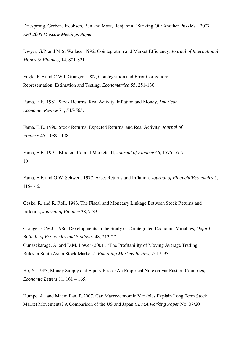Driesprong, Gerben, Jacobsen, Ben and Maat, Benjamin, "Striking Oil: Another Puzzle?", 2007. *EFA 2005 Moscow Meetings Paper* 

Dwyer, G.P. and M.S. Wallace, 1992, Cointegration and Market Efficiency, *Journal of International Money & Financ*e, 14, 801-821.

Engle, R.F and C.W.J. Granger, 1987, Cointegration and Error Correction: Representation, Estimation and Testing, *Econometrica* 55, 251-130.

Fama, E.F., 1981, Stock Returns, Real Activity, Inflation and Money, *American Economic Review* 71, 545-565.

Fama, E.F., 1990, Stock Returns, Expected Returns, and Real Activity, *Journal of Finance* 45, 1089-1108.

Fama, E.F., 1991, Efficient Capital Markets: II, *Journal of Finance* 46, 1575-1617. 10

Fama, E.F. and G.W. Schwert, 1977, Asset Returns and Inflation, *Journal of FinancialEconomics* 5, 115-146.

Geske, R. and R. Roll, 1983, The Fiscal and Monetary Linkage Between Stock Returns and Inflation, *Journal of Finance* 38, 7-33.

Granger, C.W.J., 1986, Developments in the Study of Cointegrated Economic Variables, *Oxford Bulletin of Economics and Statistics* 48, 213-27. Gunasekarage, A. and D.M. Power (2001), 'The Profitability of Moving Average Trading Rules in South Asian Stock Markets', *Emerging Markets Review*, 2: 17–33.

Ho, Y., 1983, Money Supply and Equity Prices: An Empirical Note on Far Eastern Countries, *Economic Letters* 11, 161 – 165.

Humpe, A., and Macmillan, P.,2007, Can Macroeconomic Variables Explain Long Term Stock Market Movements? A Comparison of the US and Japan *CDMA Working Paper* No. 07/20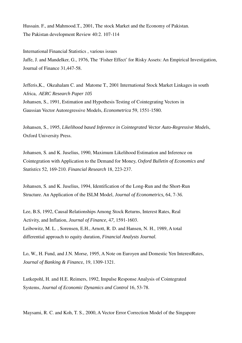Hussain. F., and Mahmood.T., 2001, The stock Market and the Economy of Pakistan. The Pakistan development Review 40:2. 107-114

International Financial Statistics , various issues Jaffe, J. and Mandelker, G., 1976, The 'Fisher Effect' for Risky Assets: An Empirical Investigation, Journal of Finance 31,447-58.

Jefferis,K., Okeahalam C. and Matome T., 2001 International Stock Market Linkages in south Africa, *AERC Research Paper 105* Johansen, S., 1991, Estimation and Hypothesis Testing of Cointegrating Vectors in Gaussian Vector Autoregressive Models, *Econometrica* 59, 1551-1580.

Johansen, S., 1995, *Likelihood based Inference in Cointegrated Vector Auto-Regressive Model*s, Oxford University Press.

Johansen, S. and K. Juselius, 1990, Maximum Likelihood Estimation and Inference on Cointegration with Application to the Demand for Money, *Oxford Bulletin of Economics and Statistics* 52, 169-210. *Financial Research* 18, 223-237.

Johansen, S. and K. Juselius, 1994, Identification of the Long-Run and the Short-Run Structure. An Application of the ISLM Model, *Journal of Econometrics,* 64, 7-3*6.*

Lee, B.S, 1992, Causal Relationships Among Stock Returns, Interest Rates, Real Activity, and Inflation, *Journal of Finance,* 4*7,* 1591-1603. Leibowitz, M. L. , Sorensen, E.H., Arnott, R. D. and Hansen, N. H., 1989, A total differential approach to equity duration, *Financial Analysts Journal.*

Lo, W., H. Fund, and J.N. Morse, 1995, A Note on Euroyen and Domestic Yen InterestRates, *Journal of Banking & Financ*e, 19, 1309-1321.

Lutkepohl, H. and H.E. Reimers, 1992, Impulse Response Analysis of Cointegrated Systems, *Journal of Economic Dynamics and Control* 16, 53-78.

Maysami, R. C. and Koh, T. S., 2000, A Vector Error Correction Model of the Singapore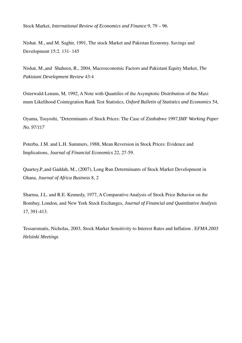Stock Market, *International Review of Economics and Finance* 9, 79 – 96.

Nishat. M., and M. Saghir, 1991, The stock Market and Pakistan Economy. Savings and Development 15:2. 131- 145

Nishat, M.,and Shaheen, R., 2004, Macroeconomic Factors and Pakistani Equity Market, *The Pakistani Development Review* 43:4

Osterwald-Lenum, M, 1992, A Note with Quantiles of the Asymptotic Distribution of the Maxi mum Likelihood Cointegration Rank Test Statistics, *Oxford Bulletin of Statistics and Economics* 54,

Oyama, Tsuyoshi, "Determinants of Stock Prices: The Case of Zimbabwe 1997,I*MF Working Paper No. 97/117* 

Poterba, J.M. and L.H. Summers, 1988, Mean Reversion in Stock Prices: Evidence and Implications, *Journal of Financial Economics* 22, 27-59.

Quartey,P.,and Gaddah, M., (2007), Long Run Determinants of Stock Market Development in Ghana, *Journal of Africa Business* 8, 2

Sharma, J.L. and R.E. Kennedy, 1977, A Comparative Analysis of Stock Price Behavior on the Bombay, London, and New York Stock Exchanges, *Journal of Financial and Quantitative Analysis* 17, 391-413.

Tessaromatis, Nicholas, 2003, Stock Market Sensitivity to Interest Rates and Inflation . E*FMA 2003 Helsinki Meetings*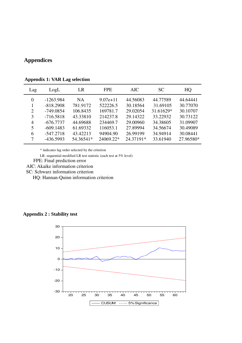# **Appendices**

| Lag                         | LogL        | LR        | <b>FPE</b>   | AIC.      | <b>SC</b> | HQ        |
|-----------------------------|-------------|-----------|--------------|-----------|-----------|-----------|
| $\Omega$                    | $-1263.984$ | NA.       | $9.07e + 11$ | 44.56083  | 44.77589  | 44.64441  |
|                             | $-818.2908$ | 781.9172  | 522226.5     | 30.18564  | 31.69105  | 30.77070  |
| $\mathcal{D}_{\mathcal{L}}$ | $-749.0854$ | 106.8435  | 169781.7     | 29.02054  | 31.61629* | 30.10707  |
| 3                           | $-716.5818$ | 43.33810  | 214237.8     | 29.14322  | 33.22932  | 30.73122  |
| 4                           | $-676.7737$ | 44.69688  | 234469.7     | 29,00960  | 34.38605  | 31.09907  |
| 5                           | $-609.1483$ | 61.69332  | 116053.1     | 27.89994  | 34.56674  | 30.49089  |
| 6                           | $-547.2718$ | 43.42213  | 94904.90     | 26.99199  | 34.94914  | 30.08441  |
| 7                           | $-436.5993$ | 54.36541* | 24069.22*    | 24.37191* | 33.61940  | 27.96580* |

**Appendix 1: VAR Lag selection**

\* indicates lag order selected by the criterion

LR: sequential modified LR test statistic (each test at 5% level)

FPE: Final prediction error

AIC: Akaike information criterion

SC: Schwarz information criterion

HQ: Hannan-Quinn information criterion

# **Appendix 2 : Stability test**

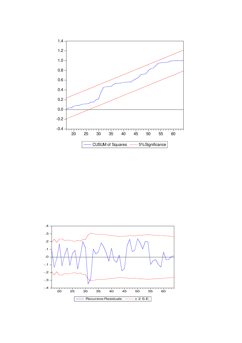